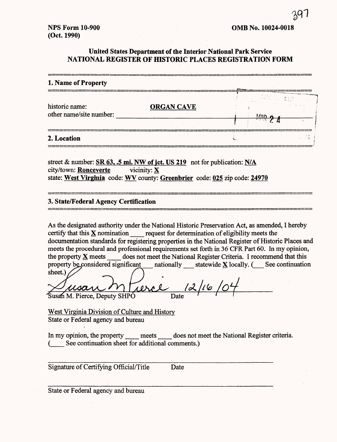# **United States Department of the Interior National Park Service NATIONAL REGISTER OF HISTORIC PLACES REGISTRATION FORM**

| 1. Name of Property                       |                   |  |
|-------------------------------------------|-------------------|--|
|                                           |                   |  |
| historic name:<br>other name/site number: | <b>ORGAN CAVE</b> |  |
|                                           |                   |  |
| 2. Location                               |                   |  |

street & number: **SR** 63, .5 mi. NW **of jet. US 219** not for publication: N/A city/town: **Ronceverte** vicinity: X state: **West Virginia** code: WV county: **Greenbrier** code: 025 zip code: **24970**

### **3. State/Federal Agency Certification**

As the designated authority under the National Historic Preservation Act, as amended, I hereby certify that this  $\underline{\mathbf{X}}$  nomination request for determination of eligibility meets the documentation standards for registering properties in the National Register of Historic Places and meets the procedural and professional requirements set forth in 36 CFR Part 60. In my opinion, the property  $X$  meets does not meet the National Register Criteria. I recommend that this property be considered significant antionally statewide  $\underline{X}$  locally. ( \_\_ See continuation sheet.)

Susan M. Pierce, Deputy SHPO <u>rerce 12/16/01</u>

West Virginia Division of Culture and History State or Federal agency and bureau

In my opinion, the property meets does not meet the National Register criteria. See continuation sheet for additional comments.)

Signature of Certifying Official/Title Date

State or Federal agency and bureau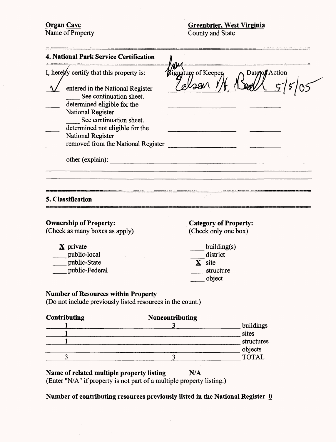**Organ Cave** Name of Property

| 4. National Park Service Certification                                                                                                                                                                                                   |                                       |
|------------------------------------------------------------------------------------------------------------------------------------------------------------------------------------------------------------------------------------------|---------------------------------------|
| I, hereby certify that this property is:                                                                                                                                                                                                 | Bignature of Keeper<br>Datepof Action |
| entered in the National Register<br>See continuation sheet.<br>determined eligible for the<br>National Register<br>See continuation sheet.<br>determined not eligible for the<br>National Register<br>removed from the National Register |                                       |
| other (explain):                                                                                                                                                                                                                         |                                       |
| 5. Classification                                                                                                                                                                                                                        |                                       |
| <b>Ownership of Property:</b>                                                                                                                                                                                                            | <b>Category of Property:</b>          |
| (Check as many boxes as apply)                                                                                                                                                                                                           | (Check only one box)                  |
| $\underline{\mathbf{X}}$ private                                                                                                                                                                                                         | building(s)                           |
| public-local                                                                                                                                                                                                                             | district                              |
| public-State                                                                                                                                                                                                                             | $\underline{\mathbf{X}}$ site         |
| public-Federal                                                                                                                                                                                                                           | structure                             |

\_\_ object

# **Number of Resources within Property**

(Do not include previously listed resources in the count.)

| Noncontributing |                  |
|-----------------|------------------|
|                 | buildings        |
|                 | sites            |
|                 | structures       |
|                 |                  |
|                 | objects<br>TOTAL |
|                 |                  |

# Name of related multiple property listing N/A

(Enter "N/A" if property is not part of a multiple property listing.)

Number of contributing resources previously listed in the National Register 0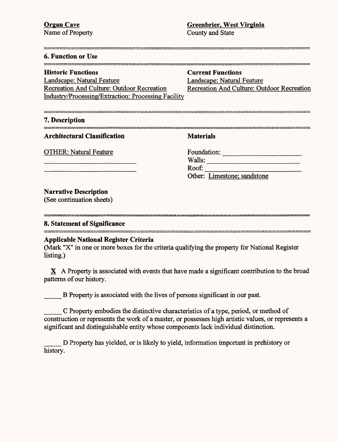| <b>6. Function or Use</b>                                                                                                                                  |                                            |
|------------------------------------------------------------------------------------------------------------------------------------------------------------|--------------------------------------------|
| <b>Historic Functions</b>                                                                                                                                  | <b>Current Functions</b>                   |
| Landscape: Natural Feature                                                                                                                                 | Landscape: Natural Feature                 |
| Recreation And Culture: Outdoor Recreation                                                                                                                 | Recreation And Culture: Outdoor Recreation |
| <b>Industry/Processing/Extraction: Processing Facility</b>                                                                                                 |                                            |
|                                                                                                                                                            |                                            |
| 7. Description                                                                                                                                             |                                            |
| <b>Architectural Classification</b>                                                                                                                        | <b>Materials</b>                           |
| <b>OTHER: Natural Feature</b>                                                                                                                              | Foundation:                                |
|                                                                                                                                                            | Walls:                                     |
|                                                                                                                                                            | Roof:                                      |
|                                                                                                                                                            | Other: Limestone; sandstone                |
| <b>Narrative Description</b>                                                                                                                               |                                            |
| (See continuation sheets)                                                                                                                                  |                                            |
| 8. Statement of Significance                                                                                                                               |                                            |
| <b>Applicable National Register Criteria</b><br>(Mark "X" in one or more boxes for the criteria qualifying the property for National Register<br>listing.) |                                            |

 $X$  A Property is associated with events that have made a significant contribution to the broad patterns of our history.

B Property is associated with the lives of persons significant in our past.

\_\_\_ C Property embodies the distinctive characteristics of a type, period, or method of construction or represents the work of a master, or possesses high artistic values, or represents a significant and distinguishable entity whose components lack individual distinction.

\_\_\_ D Property has yielded, or is likely to yield, information important in prehistory or history.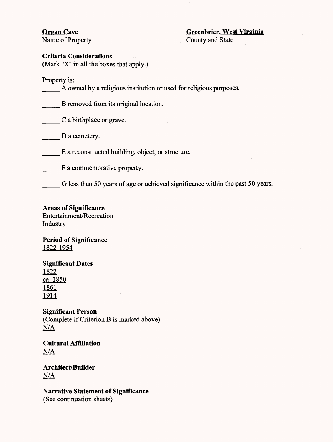# **Organ Cave Greenbrier. West Virginia**

Name of Property County and State

**Criteria Considerations**

(Mark "X" in all the boxes that apply.)

Property is:

\_\_\_ A owned by a religious institution or used for religious purposes.

\_\_\_ B removed from its original location.

\_\_\_ C a birthplace or grave.

D a cemetery.

E a reconstructed building, object, or structure.

F a commemorative property.

G less than 50 years of age or achieved significance within the past 50 years.

**Areas of Significance** Entertainment/Recreation Industry

**Period of Significance** 1822-1954

**Significant Dates** 1822 ca. 1850 1861 1914

**Significant Person** (Complete if Criterion B is marked above) N/A

**Cultural Affiliation N/A**

**Architect/Builder N/A**

**Narrative Statement of Significance** (See continuation sheets)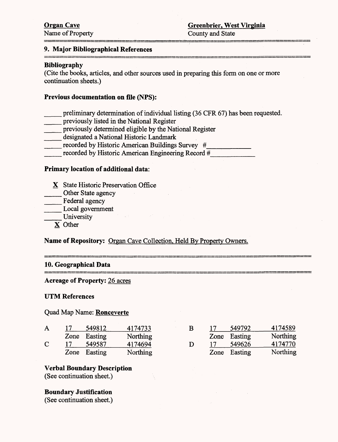### **9. Major Bibliographical References**

### **Bibliography**

(Cite the books, articles, and other sources used in preparing this form on one or more continuation sheets.)

### **Previous documentation on file (NFS):**

- preliminary determination of individual listing (36 CFR 67) has been requested.
- previously listed in the National Register
- previously determined eligible by the National Register
- designated a National Historic Landmark
- recorded by Historic American Buildings Survey #

 $\sim 1000$  km s  $^{-1}$ 

recorded by Historic American Engineering Record *#\_*

### **Primary location of additional data:**

- X State Historic Preservation Office
- \_\_\_ Other State agency
- Federal agency
- \_\_\_ Local government
- \_\_\_ University
	- X Other

### **Name of Repository:** Organ Cave Collection, Held By Property Owners.

### **10. Geographical Data**

### **Acreage of Property:** 26 acres

### **UTM References**

### Quad Map Name: **Ronceverte**

| A | 17   | 549812  | 4174733  |
|---|------|---------|----------|
|   | Zone | Easting | Northing |
| С | 17   | 549587  | 4174694  |
|   | Zone | Easting | Northing |

| в | 17 | 549792       | 4174589         |
|---|----|--------------|-----------------|
|   |    | Zone Easting | Northing        |
| D | 17 | 549626       | 4174770         |
|   |    | Zone Easting | <b>Northing</b> |

| <b>Verbal Boundary Description</b> |  |
|------------------------------------|--|
| (See continuation sheet.)          |  |

### **Boundary Justification**

(See continuation sheet.)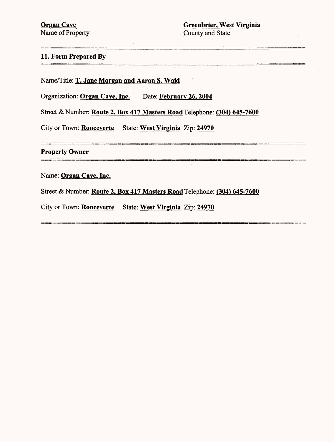Name of Property County and State

 $\bar{\mathcal{A}}$ 

# **11. Form Prepared By**

Name/Title: **T. Jane Morgan and Aaron S. Waid**

Organization: **Organ Cave, Inc.** Date: **February 26,2004**

Street & Number: **Route 2, Box 417 Masters** Road Telephone: **(304) 645-7600**

City or Town: Ronceverte State: **West Virginia** Zip: **24970**

**Property Owner**

Name: **Organ Cave, Inc.**

Street & Number: **Route 2, Box 417 Masters** Road Telephone: **(304) 645-7600**

City or Town: **Ronceverte** State: **West Virginia** Zip: **24970**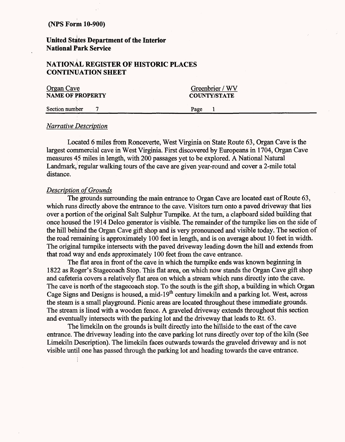# **United States Department of the Interior National Park Service**

# **NATIONAL REGISTER OF HISTORIC PLACES CONTINUATION SHEET**

| Organ Cave              | Greenbrier / WV     |
|-------------------------|---------------------|
| <b>NAME OF PROPERTY</b> | <b>COUNTY/STATE</b> |
| Section number          | Page                |

### *Narrative Description*

Located 6 miles from Ronceverte, West Virginia on State Route 63, Organ Cave is the largest commercial cave in West Virginia. First discovered by Europeans in 1704, Organ Cave measures 45 miles in length, with 200 passages yet to be explored. A National Natural Landmark, regular walking tours of the cave are given year-round and cover a 2-mile total distance.

### *Description of Grounds*

The grounds surrounding the main entrance to Organ Cave are located east of Route 63, which runs directly above the entrance to the cave. Visitors turn onto a paved driveway that lies over a portion of the original Salt Sulphur Turnpike. At the turn, a clapboard sided building that once housed the 1914 Delco generator is visible. The remainder of the turnpike lies on the side of the hill behind the Organ Cave gift shop and is very pronounced and visible today. The section of the road remaining is approximately 100 feet in length, and is on average about 10 feet in width. The original turnpike intersects with the paved driveway leading down the hill and extends from that road way and ends approximately 100 feet from the cave entrance.

The flat area in front of the cave in which the turnpike ends was known beginning in 1822 as Roger's Stagecoach Stop. This flat area, on which now stands the Organ Cave gift shop and cafeteria covers a relatively flat area on which a stream which runs directly into the cave. The cave is north of the stagecoach stop. To the south is the gift shop, a building in which Organ Cage Signs and Designs is housed, a mid-19<sup>th</sup> century limekiln and a parking lot. West, across the steam is a small playground. Picnic areas are located throughout these immediate grounds. The stream is lined with a wooden fence. A graveled driveway extends throughout this section and eventually intersects with the parking lot and the driveway that leads to Rt. 63.

The limekiln on the grounds is built directly into the hillside to the east of the cave entrance. The driveway leading into the cave parking lot runs directly over top of the kiln (See Limekiln Description). The limekiln faces outwards towards the graveled driveway and is not visible until one has passed through the parking lot and heading towards the cave entrance.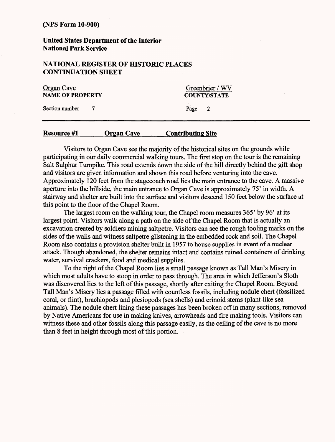**United States Department of the Interior National Park Service**

# **NATIONAL REGISTER OF HISTORIC PLACES CONTINUATION SHEET**

| Organ Cave<br>NAME OF PROPERTY |  | Greenbrier / WV<br><b>COUNTY/STATE</b> |  |
|--------------------------------|--|----------------------------------------|--|
| Section number                 |  | Page                                   |  |

### **Resource** *#1***\_\_\_\_\_Organ Cave\_\_\_\_\_Contributing Site**

Visitors to Organ Cave see the majority of the historical sites on the grounds while participating in our daily commercial walking tours. The first stop on the tour is the remaining Salt Sulphur Turnpike. This road extends down the side of the hill directly behind the gift shop and visitors are given information and shown this road before venturing into the cave. Approximately 120 feet from the stagecoach road lies the main entrance to the cave. A massive aperture into the hillside, the main entrance to Organ Cave is approximately 75' in width. A stairway and shelter are built into the surface and visitors descend 150 feet below the surface at this point to the floor of the Chapel Room.

The largest room on the walking tour, the Chapel room measures 365' by 96' at its largest point. Visitors walk along a path on the side of the Chapel Room that is actually an excavation created by soldiers mining saltpetre. Visitors can see the rough tooling marks on the sides of the walls and witness saltpetre glistening in the embedded rock and soil. The Chapel Room also contains a provision shelter built in 1957 to house supplies in event of a nuclear attack. Though abandoned, the shelter remains intact and contains ruined containers of drinking water, survival crackers, food and medical supplies.

To the right of the Chapel Room lies a small passage known as Tall Man's Misery in which most adults have to stoop in order to pass through. The area in which Jefferson's Sloth was discovered lies to the left of this passage, shortly after exiting the Chapel Room. Beyond Tall Man's Misery lies a passage filled with countless fossils, including nodule chert (fossilized coral, or flint), brachiopods and plesiopods (sea shells) and crinoid stems (plant-like sea animals). The nodule chert lining these passages has been broken off in many sections, removed by Native Americans for use in making knives, arrowheads and fire making tools. Visitors can witness these and other fossils along this passage easily, as the ceiling of the cave is no more than 8 feet in height through most of this portion.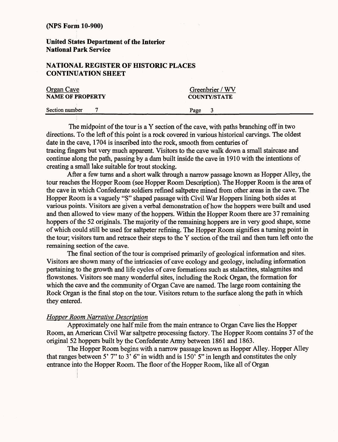## **United States Department of the Interior National Park Service**

# **NATIONAL REGISTER OF HISTORIC PLACES CONTINUATION SHEET**

| <b>Organ Cave</b><br><b>NAME OF PROPERTY</b> | Greenbrier / WV<br><b>COUNTY/STATE</b> |  |
|----------------------------------------------|----------------------------------------|--|
| Section number                               | Page                                   |  |

The midpoint of the tour is a Y section of the cave, with paths branching off in two directions. To the left of this point is a rock covered in various historical carvings. The oldest date in the cave, 1704 is inscribed into the rock, smooth from centuries of tracing fingers but very much apparent. Visitors to the cave walk down a small staircase and continue along the path, passing by a dam built inside the cave in 1910 with the intentions of creating a small lake suitable for trout stocking.

After a few turns and a short walk through a narrow passage known as Hopper Alley, the tour reaches the Hopper Room (see Hopper Room Description). The Hopper Room is the area of the cave in which Confederate soldiers refined saltpetre mined from other areas in the cave. The Hopper Room is a vaguely "S" shaped passage with Civil War Hoppers lining both sides at various points. Visitors are given a verbal demonstration of how the hoppers were built and used and then allowed to view many of the hoppers. Within the Hopper Room there are 37 remaining hoppers of the 52 originals. The majority of the remaining hoppers are in very good shape, some of which could still be used for saltpeter refining. The Hopper Room signifies a turning point in the tour; visitors turn and retrace their steps to the Y section of the trail and then turn left onto the remaining section of the cave.

The final section of the tour is comprised primarily of geological information and sites. Visitors are shown many of the intricacies of cave ecology and geology, including information pertaining to the growth and life cycles of cave formations such as stalactites, stalagmites and flowstones. Visitors see many wonderful sites, including the Rock Organ, the formation for which the cave and the community of Organ Cave are named. The large room containing the Rock Organ is the final stop on the tour. Visitors return to the surface along the path in which they entered.

### *Hopper Room Narrative Description*

Approximately one half mile from the main entrance to Organ Cave lies the Hopper Room, an American Civil War saltpetre processing factory. The Hopper Room contains 37 of the original 52 hoppers built by the Confederate Army between 1861 and 1863.

The Hopper Room begins with a narrow passage known as Hopper Alley. Hopper Alley that ranges between 5' 7" to 3' 6" in width and is  $150'$  5" in length and constitutes the only entrance into the Hopper Room. The floor of the Hopper Room, like all of Organ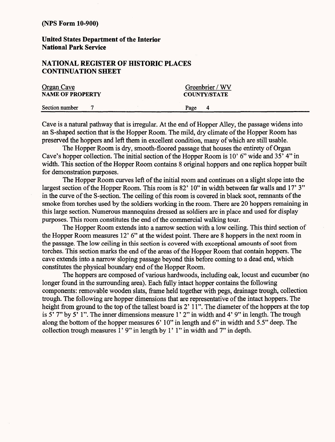**United States Department of the Interior National Park Service**

## **NATIONAL REGISTER OF HISTORIC PLACES CONTINUATION SHEET**

| <b>Organ Cave</b>       |  | Greenbrier / WV     |  |  |
|-------------------------|--|---------------------|--|--|
| <b>NAME OF PROPERTY</b> |  | <b>COUNTY/STATE</b> |  |  |
| Section number          |  | Page<br>4           |  |  |

Cave is a natural pathway that is irregular. At the end of Hopper Alley, the passage widens into an S-shaped section that is the Hopper Room. The mild, dry climate of the Hopper Room has preserved the hoppers and left them in excellent condition, many of which are still usable.

The Hopper Room is dry, smooth-floored passage that houses the entirety of Organ Cave's hopper collection. The initial section of the Hopper Room is 10' 6" wide and 35' 4" in width. This section of the Hopper Room contains 8 original hoppers and one replica hopper built for demonstration purposes.

The Hopper Room curves left of the initial room and continues on a slight slope into the largest section of the Hopper Room. This room is 82' 10" in width between far walls and 17' 3" in the curve of the S-section. The ceiling of this room is covered in black soot, remnants of the smoke from torches used by the soldiers working in the room. There are 20 hoppers remaining in this large section. Numerous mannequins dressed as soldiers are in place and used for display purposes. This room constitutes the end of the commercial walking tour.

The Hopper Room extends into a narrow section with a low ceiling. This third section of the Hopper Room measures 12' 6" at the widest point. There are 8 hoppers in the next room in the passage. The low ceiling in this section is covered with exceptional amounts of soot from torches. This section marks the end of the areas of the Hopper Room that contain hoppers. The cave extends into a narrow sloping passage beyond this before coming to a dead end, which constitutes the physical boundary end of the Hopper Room.

The hoppers are composed of various hardwoods, including oak, locust and cucumber (no longer found in the surrounding area). Each fully intact hopper contains the following components: removable wooden slats, frame held together with pegs, drainage trough, collection trough. The following are hopper dimensions that are representative of the intact hoppers. The height from ground to the top of the tallest board is 2' 11". The diameter of the hoppers at the top is 5' 7" by 5' 1". The inner dimensions measure 1' 2" in width and 4' 9" in length. The trough along the bottom of the hopper measures 6' 10" in length and 6" in width and 5.5" deep. The collection trough measures 1' 9" in length by 1' 1" in width and 7" in depth.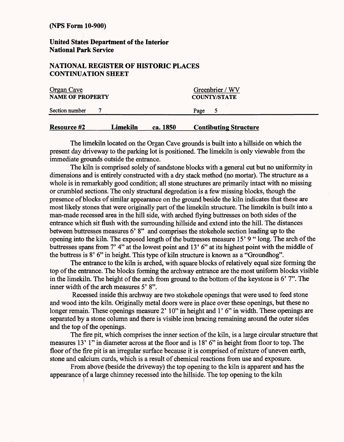**United States Department of the Interior National Park Service**

### **NATIONAL REGISTER OF HISTORIC PLACES CONTINUATION SHEET**

| Organ Cave<br><b>NAME OF PROPERTY</b> |          |          | Greenbrier / WV<br><b>COUNTY/STATE</b> |  |
|---------------------------------------|----------|----------|----------------------------------------|--|
| Section number                        |          |          | Page                                   |  |
| <b>Resource #2</b>                    | Limekiln | ca. 1850 | <b>Contibuting Structure</b>           |  |

The limekiln located on the Organ Cave grounds is built into a hillside on which the present day driveway to the parking lot is positioned. The limekiln is only viewable from the immediate grounds outside the entrance.

The kiln is comprised solely of sandstone blocks with a general cut but no uniformity in dimensions and is entirely constructed with a dry stack method (no mortar). The structure as a whole is in remarkably good condition; all stone structures are primarily intact with no missing or crumbled sections. The only structural degredation is a few missing blocks, though the presence of blocks of similar appearance on the ground beside the kiln indicates that these are most likely stones that were originally part of the limekiln structure. The limekiln is built into a man-made recessed area in the hill side, with arched flying buttresses on both sides of the entrance which sit flush with the surrounding hillside and extend into the hill. The distances between buttresses measures 6' 8" and comprises the stokehole section leading up to the opening into the kiln. The exposed length of the buttresses measure 15' 9 " long. The arch of the buttresses spans from 7' 4" at the lowest point and 13' 6" at its highest point with the middle of the buttress is 8' 6" in height. This type of kiln structure is known as a "Groundhog".

The entrance to the kiln is arched, with square blocks of relatively equal size forming the top of the entrance. The blocks forming the archway entrance are the most uniform blocks visible in the limekiln. The height of the arch from ground to the bottom of the keystone is 6' 7". The inner width of the arch measures 5' 8".

Recessed inside this archway are two stokehole openings that were used to feed stone and wood into the kiln. Originally metal doors were in place over these openings, but these no longer remain. These openings measure 2' 10" in height and 1' 6" in width. These openings are separated by a stone column and there is visible iron bracing remaining around the outer sides and the top of the openings.

The fire pit, which comprises the inner section of the kiln, is a large circular structure that measures 13' 1" in diameter across at the floor and is 18' 6" in height from floor to top. The floor of the fire pit is an irregular surface because it is comprised of mixture of uneven earth, stone and calcium curds, which is a result of chemical reactions from use and exposure.

From above (beside the driveway) the top opening to the kiln is apparent and has the appearance pf a large chimney recessed into the hillside. The top opening to the kiln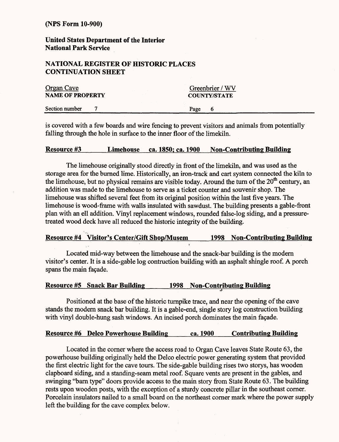**United States Department of the Interior National Park Service**

### **NATIONAL REGISTER OF HISTORIC PLACES CONTINUATION SHEET**

| <b>Organ Cave</b>       |  | Greenbrier / WV     |      |   |  |
|-------------------------|--|---------------------|------|---|--|
| <b>NAME OF PROPERTY</b> |  | <b>COUNTY/STATE</b> |      |   |  |
| Section number          |  |                     | Page | 6 |  |

is covered with a few boards and wire fencing to prevent visitors and animals from potentially falling through the hole in surface to the inner floor of the limekiln.

### **Resource #3\_\_\_\_\_Limehouse ca. 1850: ca. 1900 Non-Contributing Building**

The limehouse originally stood directly in front of the limekiln, and was used as the storage area for the burned lime. Historically, an iron-track and cart system connected the kiln to the limehouse, but no physical remains are visible today. Around the turn of the  $20<sup>th</sup>$  century, an addition was made to the limehouse to serve as a ticket counter and souvenir shop. The limehouse was shifted several feet from its original position within the last five years. The limehouse is wood-frame with walls insulated with sawdust. The building presents a gable-front plan with an ell addition. Vinyl replacement windows, rounded false-log siding, and a pressuretreated wood deck have all reduced the historic integrity of the building.

### **Resource #4 Visitor's Center/Gift Shop/Musem\_\_\_\_1998 Non-Contributing Building**

!

Located mid-way between the limehouse and the snack-bar building is the modern visitor's center. It is a side-gable log contruction building with an asphalt shingle roof. A porch spans the main façade.

### **Resource #5 Snack Bar Building\_\_\_\_\_1998 Non-Contributing Building** r\*

Positioned at the base of the historic turnpike trace, and near the opening of the cave stands the modern snack bar building. It is a gable-end, single story log construction building with vinyl double-hung sash windows. An incised porch dominates the main façade.

### **Resource** *#6* **Delco Powerhouse Building\_\_\_\_ca. 1900\_\_\_Contributing Building**

Located in the comer where the access road to Organ Cave leaves State Route 63, the powerhouse building originally held the Delco electric power generating system that provided the first electric light for the cave tours. The side-gable building rises two storys, has wooden clapboard siding, and a standing-seam metal roof. Square vents are present in the gables, and swinging "barn type" doors provide access to the main story from State Route 63. The building rests upon wooden posts, with the exception of a sturdy concrete pillar in the southeast corner. Porcelain insulators nailed to a small board on the northeast corner mark where the power supply left the building for the cave complex below.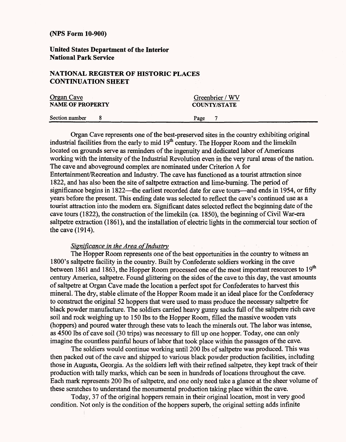**United States Department of the Interior National Park Service**

### **NATIONAL REGISTER OF HISTORIC PLACES CONTINUATION SHEET**

| <b>Organ Cave</b>       |  | Greenbrier / WV     |
|-------------------------|--|---------------------|
| <b>NAME OF PROPERTY</b> |  | <b>COUNTY/STATE</b> |
| Section number          |  | Page                |

Organ Cave represents one of the best-preserved sites in the country exhibiting original industrial facilities from the early to mid 19<sup>th</sup> century. The Hopper Room and the limekiln located on grounds serve as reminders of the ingenuity and dedicated labor of Americans working with the intensity of the Industrial Revolution even in the very rural areas of the nation. The cave and aboveground complex are nominated under Criterion A for Entertainment/Recreation and Industry. The cave has functioned as a tourist attraction since 1822, and has also been the site of saltpetre extraction and lime-burning. The period of significance begins in 1822—the earliest recorded date for cave tours—and ends in 1954, or fifty years before the present. This ending date was selected to reflect the cave's continued use as a tourist attraction into the modem era. Significant dates selected reflect the beginning date of the cave tours (1822), the construction of the limekiln (ca. 1850), the beginning of Civil War-era saltpetre extraction (1861), and the installation of electric lights in the commercial tour section of the cave (1914).

### *Significance in the Area of Industry*

The Hopper Room represents one of the best opportunities in the country to witness an 1800's saltpetre facility in the country. Built by Confederate soldiers working in the cave between 1861 and 1863, the Hopper Room processed one of the most important resources to 19<sup>th</sup> century America, saltpetre. Found glittering on the sides of the cave to this day, the vast amounts of saltpetre at Organ Cave made the location a perfect spot for Confederates to harvest this mineral. The dry, stable climate of the Hopper Room made it an ideal place for the Confederacy to construct the original 52 hoppers that were used to mass produce the necessary saltpetre for black powder manufacture. The soldiers carried heavy gunny sacks full of the saltpetre rich cave soil and rock weighing up to 150 Ibs to the Hopper Room, filled the massive wooden vats (hoppers) and poured water through these vats to leach the minerals out. The labor was intense, as 4500 Ibs of cave soil (30 trips) was necessary to fill up one hopper. Today, one can only imagine the countless painful hours of labor that took place within the passages of the cave.

The soldiers would continue working until 200 Ibs of saltpetre was produced. This was then packed out of the cave and shipped to various black powder production facilities, including those in Augusta, Georgia. As the soldiers left with their refined saltpetre, they kept track of their production with tally marks, which can be seen in hundreds of locations throughout the cave. Each mark represents 200 Ibs of saltpetre, and one only need take a glance at the sheer volume of these scratches to understand the monumental production taking place within the cave.

Today, 37 of the original hoppers remain in their original location, most in very good condition. Not only is the condition of the hoppers superb, the original setting adds infinite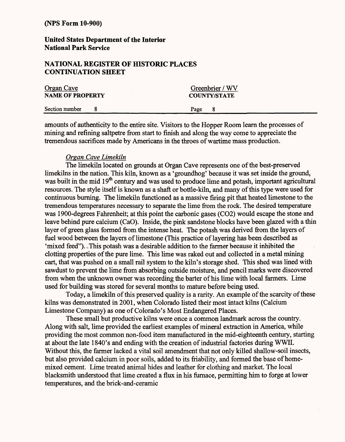### **United States Department of the Interior National Park Service**

### **NATIONAL REGISTER OF HISTORIC PLACES CONTINUATION SHEET**

| <b>Organ Cave</b><br><b>NAME OF PROPERTY</b> |  | Greenbrier / WV<br><b>COUNTY/STATE</b> |  |
|----------------------------------------------|--|----------------------------------------|--|
| Section number                               |  | Page                                   |  |

amounts of authenticity to the entire site. Visitors to the Hopper Room learn the processes of mining and refining saltpetre from start to finish and along the way come to appreciate the tremendous sacrifices made by Americans in the throes of wartime mass production.

### *Organ Cave Limekiln*

The limekiln located on grounds at Organ Cave represents one of the best-preserved limekilns in the nation. This kiln, known as a 'groundhog' because it was set inside the ground, was built in the mid 19<sup>th</sup> century and was used to produce lime and potash, important agricultural resources. The style itself is known as a shaft or bottle-kiln, and many of this type were used for continuous burning. The limekiln functioned as a massive firing pit that heated limestone to the tremendous temperatures necessary to separate the lime from the rock. The desired temperature was 1900-degrees Fahrenheit; at this point the carbonic gases (CO2) would escape the stone and leave behind pure calcium (CaO). Inside, the pink sandstone blocks have been glazed with a thin layer of green glass formed from the intense heat. The potash was derived from the layers of fuel wood between the layers of limestone (This practice of layering has been described as 'mixed feed"). ..This potash was a desirable addition to the farmer because it inhibited the clotting properties of the pure lime. This lime was raked out and collected in a metal mining cart, that was pushed on a small rail system to the kiln's storage shed. This shed was lined with sawdust to prevent the lime from absorbing outside moisture, and pencil marks were discovered from when the unknown owner was recording the barter of his lime with local farmers. Lime used for building was stored for several months to mature before being used.

Today, a limekiln of this preserved quality is a rarity. An example of the scarcity of these kilns was demonstrated in 2001, when Colorado listed their most intact kilns (Calcium Limestone Company) as one of Colorado's Most Endangered Places.

These small but productive kilns were once a common landmark across the country. Along with salt, lime provided the earliest examples of mineral extraction in America, while providing the most common non-food item manufactured in the mid-eighteenth century, starting at about the late 1840's and ending with the creation of industrial factories during WWII. Without this, the farmer lacked a vital soil amendment that not only killed shallow-soil insects, but also provided calcium in poor soils, added to its friability, and formed the base of homemixed cement. Lime treated animal hides and leather for clothing and market. The local blacksmith understood that lime created a flux in his furnace, permitting him to forge at lower temperatures, and the brick-and-ceramic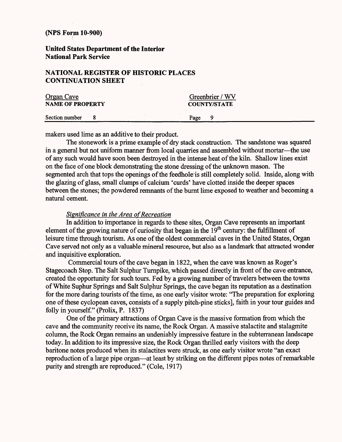**United States Department of the Interior National Park Service**

### **NATIONAL REGISTER OF HISTORIC PLACES CONTINUATION SHEET**

| Organ Cave              |  | Greenbrier / WV     |           |  |
|-------------------------|--|---------------------|-----------|--|
| <b>NAME OF PROPERTY</b> |  | <b>COUNTY/STATE</b> |           |  |
| Section number          |  |                     | Page<br>Q |  |

makers used lime as an additive to their product.

The stonework is a prime example of dry stack construction. The sandstone was squared in a general but not uniform manner from local quarries and assembled without mortar—the use of any such would have soon been destroyed in the intense heat of the kiln. Shallow lines exist on the face of one block demonstrating the stone dressing of the unknown mason. The segmented arch that tops the openings of the feedhole is still completely solid. Inside, along with the glazing of glass, small clumps of calcium 'curds' have clotted inside the deeper spaces between the stones; the powdered remnants of the burnt lime exposed to weather and becoming a natural cement.

### *Significance in the Area of Recreation*

In addition to importance in regards to these sites, Organ Cave represents an important element of the growing nature of curiosity that began in the  $19<sup>th</sup>$  century: the fulfillment of leisure time through tourism. As one of the oldest commercial caves in the United States, Organ Cave served not only as a valuable mineral resource, but also as a landmark that attracted wonder and inquisitive exploration.

Commercial tours of the cave began in 1822, when the cave was known as Roger's Stagecoach Stop. The Salt Sulphur Turnpike, which passed directly in front of the cave entrance, created the opportunity for such tours. Fed by a growing number of travelers between the towns of White Suphur Springs and Salt Sulphur Springs, the cave began its reputation as a destination for the more daring tourists of the time, as one early visitor wrote: "The preparation for exploring one of these cyclopean caves, consists of a supply pitch-pine sticks], faith in your tour guides and folly in yourself." (Prolix, P. 1837)

One of the primary attractions of Organ Cave is the massive formation from which the cave and the community receive its name, the Rock Organ. A massive stalactite and stalagmite column, the Rock Organ remains an undeniably impressive feature in the subterranean landscape today. In addition to its impressive size, the Rock Organ thrilled early visitors with the deep baritone notes produced when its stalactites were struck, as one early visitor wrote "an exact reproduction of a large pipe organ—at least by striking on the different pipes notes of remarkable purity and strength are reproduced." (Cole, 1917)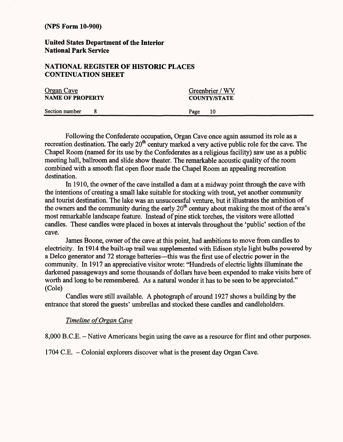**United States Department of the Interior National Park Service**

# **NATIONAL REGISTER OF HISTORIC PLACES CONTINUATION SHEET**

| <b>Organ Cave</b>       |  | Greenbrier / WV     |    |  |
|-------------------------|--|---------------------|----|--|
| <b>NAME OF PROPERTY</b> |  | <b>COUNTY/STATE</b> |    |  |
| Section number          |  | Page                | 10 |  |

Following the Confederate occupation, Organ Cave once again assumed its role as a recreation destination. The early 20<sup>th</sup> century marked a very active public role for the cave. The Chapel Room (named for its use by the Confederates as a religious facility) saw use as a public meeting hall, ballroom and slide show theater. The remarkable acoustic quality of the room combined with a smooth flat open floor made the Chapel Room an appealing recreation destination.

In 1910, the owner of the cave installed a dam at a midway point through the cave with the intentions of creating a small lake suitable for stocking with trout, yet another community and tourist destination. The lake was an unsuccessful venture, but it illustrates the ambition of the owners and the community during the early  $20<sup>th</sup>$  century about making the most of the area's most remarkable landscape feature. Instead of pine stick torches, the visitors were allotted candles. These candles were placed in boxes at intervals throughout the 'public' section of the cave.

James Boone, owner of the cave at this point, had ambitions to move from candles to electricity. In 1914 the built-up trail was supplemented with Edison style light bulbs powered by a Delco generator and 72 storage batteries—this was the first use of electric power in the community. In 1917 an appreciative visitor wrote: "Hundreds of electric lights illuminate the darkened passageways and some thousands of dollars have been expended to make visits here of worth and long to be remembered. As a natural wonder it has to be seen to be appreciated." (Cole)

Candles were still available. A photograph of around 1927 shows a building by the entrance that stored the guests' umbrellas and stocked these candles and candleholders.

### *Time line of Organ Cave*

8,000 B.C.E. - Native Americans begin using the cave as a resource for flint and other purposes.

1704 C.E. - Colonial explorers discover what is the present day Organ Cave.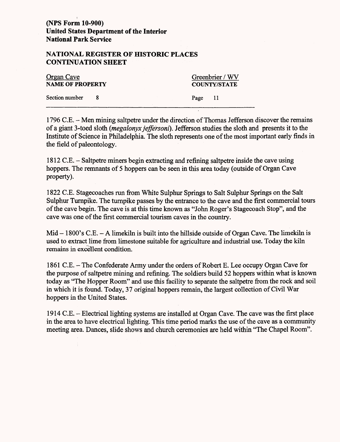# **(NFS Form** 10-900) **United States Department of the Interior National Park Service**

### **NATIONAL REGISTER OF HISTORIC PLACES CONTINUATION SHEET**

| <b>Organ Cave</b><br><b>NAME OF PROPERTY</b> |  | Greenbrier / WV<br><b>COUNTY/STATE</b> |  |
|----------------------------------------------|--|----------------------------------------|--|
| Section number                               |  | Page 11                                |  |

1796 C.E. - Men mining saltpetre under the direction of Thomas Jefferson discover the remains of a giant 3-toed sloth *(megalonyxjeffersoni).* Jefferson studies the sloth and presents it to the Institute of Science in Philadelphia. The sloth represents one of the most important early finds in the field of paleontology.

1812 C.E. - Saltpetre miners begin extracting and refining saltpetre inside the cave using hoppers. The remnants of 5 hoppers can be seen in this area today (outside of Organ Cave property).

1822 C.E. Stagecoaches run from White Sulphur Springs to Salt Sulphur Springs on the Salt Sulphur Turnpike. The turnpike passes by the entrance to the cave and the first commercial tours of the cave begin. The cave is at this time known as "John Roger's Stagecoach Stop", and the cave was one of the first commercial tourism caves in the country.

 $Mid - 1800's C.E. - A$  limekiln is built into the hillside outside of Organ Cave. The limekiln is used to extract lime from limestone suitable for agriculture and industrial use. Today the kiln remains in excellent condition.

1861 C.E. - The Confederate Army under the orders of Robert E. Lee occupy Organ Cave for the purpose of saltpetre mining and refining. The soldiers build 52 hoppers within what is known today as "The Hopper Room" and use this facility to separate the saltpetre from the rock and soil in which it is found. Today, 37 original hoppers remain, the largest collection of Civil War hoppers in the United States.

1914 C.E. - Electrical lighting systems are installed at Organ Cave. The cave was the first place in the area to have electrical lighting. This time period marks the use of the cave as a community meeting area. Dances, slide shows and church ceremonies are held within "The Chapel Room".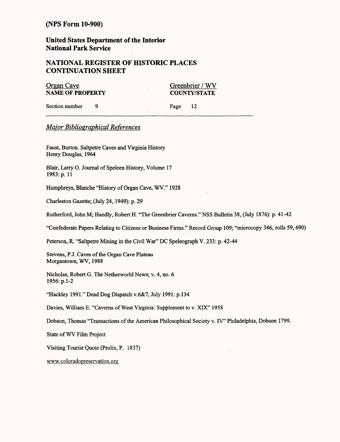**United States Department of the Interior National Park Service**

## **NATIONAL REGISTER OF HISTORIC PLACES CONTINUATION SHEET**

Organ Cave Greenbrier / WV **NAME OF PROPERTY COUNTY/STATE** 

Section number 9

Page 12

### *Major Bibliographical References*

Faust, Burton. Saltpetre Caves and Virginia History Henry Douglas, 1964

Blair, Larry O. Journal of Speleen History, Volume 17 1983: p.11

Humphreys, Blanche "History of Organ Cave, WV." 1928

Charleston Gazette; (July 24,1949): p. 29

Rutherford, John M; Handly, Robert H. "The Greenbrier Caverns." NSS Bulletin 38, (July 1876): p. 41-42

"Confederate Papers Relating to Citizens or Business Firms." Record Group 109; "microcopy 346, rolls 59, 690)

Peterson, R. "Saltpetre Mining in the Civil War" DC Speleograph V. 233: p. 42-44

Stevens, P.J. Caves of the Organ Cave Plateau Morgantown, WV, 1988

Nicholas, Robert G. The Netherworld News; v. 4, no. 6 1956:p.l-2

"Hackley 1991." Dead Dog Dispatch v.6&7, July 1991: p. 134

Davies, William E. "Caverns of West Virginia: Supplement to v. XIX" 1958

Dobson, Thomas "Transactions of the American Philosophical Society v. IV" Philadelphia, Dobson 1799.

State of WV Film Project

Visiting Tourist Quote (Prolix, P. 1837)

www.coloradopreservation.org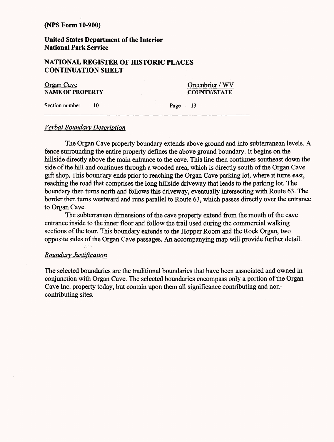**(NFS Form iO-900)**

**United States Department of the Interior National Park Service**

## **NATIONAL REGISTER OF HISTORIC PLACES CONTINUATION SHEET**

| Organ Cave              |  |  | Greenbrier / WV |                     |  |
|-------------------------|--|--|-----------------|---------------------|--|
| <b>NAME OF PROPERTY</b> |  |  |                 | <b>COUNTY/STATE</b> |  |
| Section number          |  |  | Page            |                     |  |

### *Verbal Boundary Description*

The Organ Cave property boundary extends above ground and into subterranean levels. A fence surrounding the entire property defines the above ground boundary. It begins on the hillside directly above the main entrance to the cave. This line then continues southeast down the side of the hill and continues through a wooded area, which is directly south of the Organ Cave gift shop. This boundary ends prior to reaching the Organ Cave parking lot, where it turns east, reaching the road that comprises the long hillside driveway that leads to the parking lot. The boundary then turns north and follows this driveway, eventually intersecting with Route 63. The border then turns westward and runs parallel to Route 63, which passes directly over the entrance to Organ Cave.

The subterranean dimensions of the cave property extend from the mouth of the cave entrance inside to the inner floor and follow the trail used during the commercial walking sections of the tour. This boundary extends to the Hopper Room and the Rock Organ, two opposite sides of the Organ Cave passages. An accompanying map will provide further detail.

### *Boundary Justification*

The selected boundaries are the traditional boundaries that have been associated and owned in conjunction with Organ Cave. The selected boundaries encompass only a portion of the Organ Cave Inc. property today, but contain upon them all significance contributing and noncontributing sites.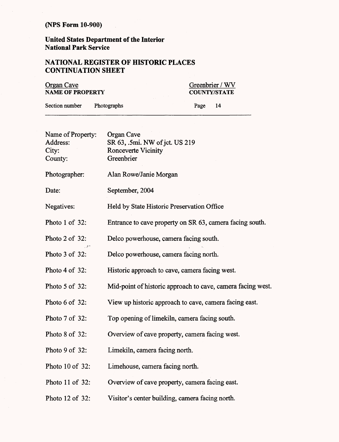**United States Department of the Interior National Park Service**

# NATIONAL REGISTER OF HISTORIC PLACES **CONTINUATION SHEET**

| <b>Organ Cave</b><br><b>NAME OF PROPERTY</b> |  |      | Greenbrier / WV<br><b>COUNTY/STATE</b> |  |
|----------------------------------------------|--|------|----------------------------------------|--|
| Section number<br><b>Photographs</b>         |  | Page | -14                                    |  |

| Name of Property: | Organ Cave                                                  |
|-------------------|-------------------------------------------------------------|
| Address:          | SR 63, .5mi. NW of jct. US 219                              |
| City:             | <b>Ronceverte Vicinity</b>                                  |
| County:           | Greenbrier                                                  |
| Photographer:     | Alan Rowe/Janie Morgan                                      |
| Date:             | September, 2004                                             |
| Negatives:        | Held by State Historic Preservation Office                  |
| Photo 1 of 32:    | Entrance to cave property on SR 63, camera facing south.    |
| Photo 2 of 32:    | Delco powerhouse, camera facing south.                      |
| Photo 3 of 32:    | Delco powerhouse, camera facing north.                      |
| Photo 4 of 32:    | Historic approach to cave, camera facing west.              |
| Photo 5 of 32:    | Mid-point of historic approach to cave, camera facing west. |
| Photo 6 of 32:    | View up historic approach to cave, camera facing east.      |
| Photo 7 of 32:    | Top opening of limekiln, camera facing south.               |
| Photo 8 of 32:    | Overview of cave property, camera facing west.              |
| Photo 9 of 32:    | Limekiln, camera facing north.                              |
| Photo 10 of 32:   | Limehouse, camera facing north.                             |
| Photo 11 of 32:   | Overview of cave property, camera facing east.              |
| Photo 12 of 32:   | Visitor's center building, camera facing north.             |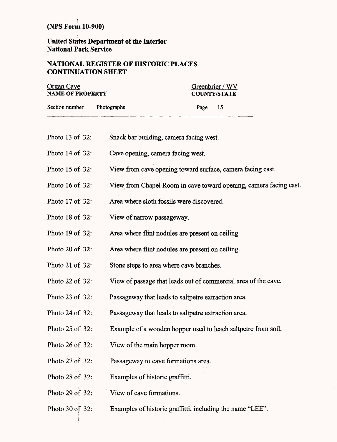**United States Department of the Interior National Park Service**

### **NATIONAL REGISTER OF HISTORIC PLACES CONTINUATION SHEET**

| Organ Cave              |             | Greenbrier / WV     |  |  |
|-------------------------|-------------|---------------------|--|--|
| <b>NAME OF PROPERTY</b> |             | <b>COUNTY/STATE</b> |  |  |
| Section number          | Photographs | Page<br>-15         |  |  |
|                         |             |                     |  |  |

- Photo 13 of 32: Snack bar building, camera facing west.
- Photo 14 of 32: Cave opening, camera facing west.
- Photo 15 of 32: View from cave opening toward surface, camera facing east.
- Photo 16 of 32: View from Chapel Room in cave toward opening, camera facing east.
- Photo 17 of 32: Area where sloth fossils were discovered.
- Photo 18 of 32: View of narrow passageway.
- Photo 19 of 32: Area where flint nodules are present on ceiling.
- Photo 20 of 32: Area where flint nodules are present on ceiling.
- Photo 21 of 32: Stone steps to area where cave branches.
- Photo 22 of 32: View of passage that leads out of commercial area of the cave.
- Photo 23 of 32: Passageway that leads to saltpetre extraction area.
- Photo 24 of 32: Passageway that leads to saltpetre extraction area.
- Photo 25 of 32: Example of a wooden hopper used to leach saltpetre from soil.
- Photo 26 of 32: View of the main hopper room.
- Photo 27 of 32: Passageway to cave formations area.
- Photo 28 of 32: Examples of historic graffitti.
- Photo 29 of 32: View of cave formations.
- Photo 30 of 32: Examples of historic graffitti, including the name "LEE".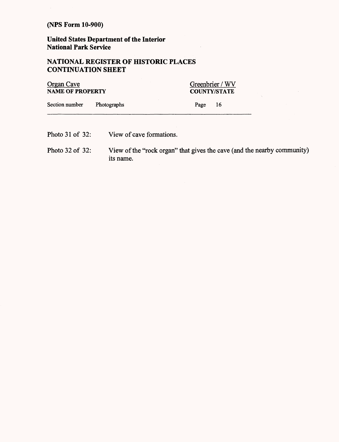**United States Department of the Interior National Park Service**

# **NATIONAL REGISTER OF HISTORIC PLACES CONTINUATION SHEET**

| Organ Cave              |             | Greenbrier / WV     |     |  |
|-------------------------|-------------|---------------------|-----|--|
| <b>NAME OF PROPERTY</b> |             | <b>COUNTY/STATE</b> |     |  |
| Section number          | Photographs | Page                | -16 |  |
|                         |             |                     |     |  |

- Photo 31 of 32: View of cave formations.
- Photo 32 of 32: View of the "rock organ" that gives the cave (and the nearby community) its name.

 $\label{eq:1} \nabla \mathbf{v} = \mathbf{v}$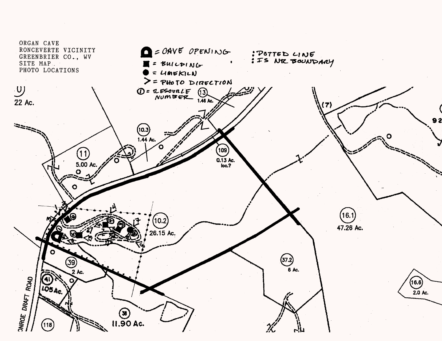